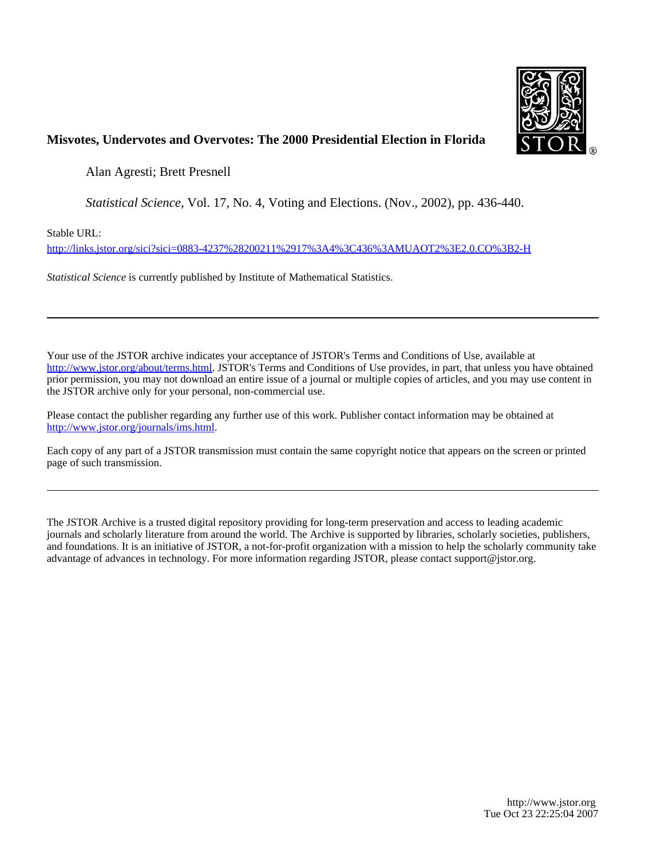

# **Misvotes, Undervotes and Overvotes: The 2000 Presidential Election in Florida**

Alan Agresti; Brett Presnell

*Statistical Science*, Vol. 17, No. 4, Voting and Elections. (Nov., 2002), pp. 436-440.

Stable URL:

<http://links.jstor.org/sici?sici=0883-4237%28200211%2917%3A4%3C436%3AMUAOT2%3E2.0.CO%3B2-H>

*Statistical Science* is currently published by Institute of Mathematical Statistics.

Your use of the JSTOR archive indicates your acceptance of JSTOR's Terms and Conditions of Use, available at [http://www.jstor.org/about/terms.html.](http://www.jstor.org/about/terms.html) JSTOR's Terms and Conditions of Use provides, in part, that unless you have obtained prior permission, you may not download an entire issue of a journal or multiple copies of articles, and you may use content in the JSTOR archive only for your personal, non-commercial use.

Please contact the publisher regarding any further use of this work. Publisher contact information may be obtained at [http://www.jstor.org/journals/ims.html.](http://www.jstor.org/journals/ims.html)

Each copy of any part of a JSTOR transmission must contain the same copyright notice that appears on the screen or printed page of such transmission.

The JSTOR Archive is a trusted digital repository providing for long-term preservation and access to leading academic journals and scholarly literature from around the world. The Archive is supported by libraries, scholarly societies, publishers, and foundations. It is an initiative of JSTOR, a not-for-profit organization with a mission to help the scholarly community take advantage of advances in technology. For more information regarding JSTOR, please contact support@jstor.org.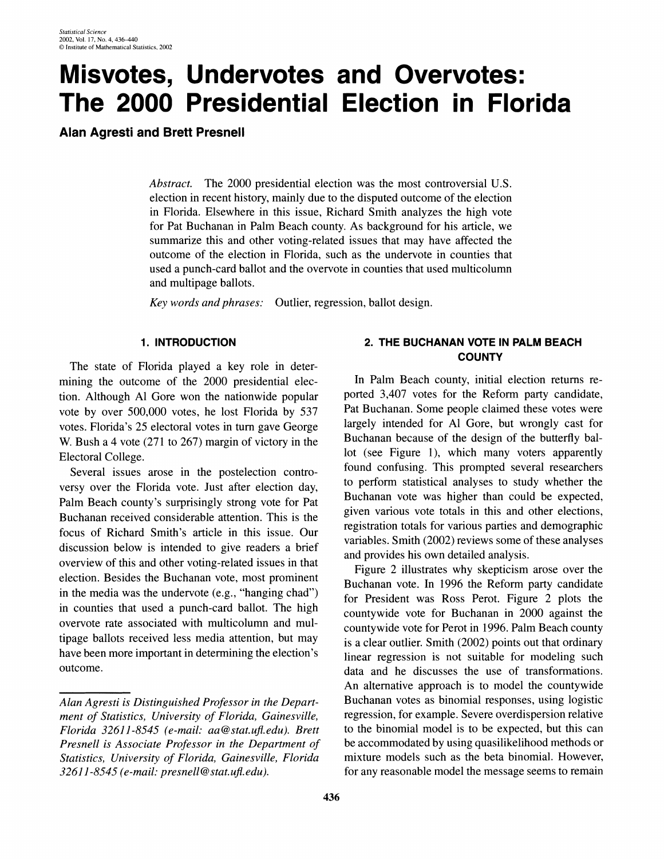# **Misvotes, Undervotes and Overvotes: The 2000 Presidential Election in Florida**

**Alan Agresti and Brett Presnell** 

*Abstract.* The 2000 presidential election was the most controversial U.S. election in recent history, mainly due to the disputed outcome of the election in Florida. Elsewhere in this issue, Richard Smith analyzes the high vote for Pat Buchanan in Palm Beach county. As background for his article, we summarize this and other voting-related issues that may have affected the outcome of the election in Florida, such as the undervote in counties that used a punch-card ballot and the overvote in counties that used multicolumn and multipage ballots.

*Key words and phrases:* Outlier, regression, ballot design.

# **1. INTRODUCTION**

The state of Florida played a key role in determining the outcome of the 2000 presidential election. Although A1 Gore won the nationwide popular vote by over 500,000 votes, he lost Florida by 537 votes. Florida's 25 electoral votes in turn gave George W. Bush a 4 vote (271 to 267) margin of victory in the Electoral College.

Several issues arose in the postelection controversy over the Florida vote. Just after election day, Palm Beach county's surprisingly strong vote for Pat Buchanan received considerable attention. This is the focus of Richard Smith's article in this issue. Our discussion below is intended to give readers a brief overview of this and other voting-related issues in that election. Besides the Buchanan vote, most prominent in the media was the undervote (e.g., "hanging chad") in counties that used a punch-card ballot. The high overvote rate associated with multicolumn and multipage ballots received less media attention, but may have been more important in determining the election's outcome. bverve<br>tipage<br>have b<br>Alan A

# **2. THE BUCHANAN VOTE IN PALM BEACH COUNTY**

In Palm Beach county, initial election returns reported 3,407 votes for the Reform party candidate, Pat Buchanan. Some people claimed these votes were largely intended for A1 Gore, but wrongly cast for Buchanan because of the design of the butterfly ballot (see Figure 1), which many voters apparently found confusing. This prompted several researchers to perform statistical analyses to study whether the Buchanan vote was higher than could be expected, given various vote totals in this and other elections, registration totals for various parties and demographic variables. Smith (2002) reviews some of these analyses and provides his own detailed analysis.

Figure 2 illustrates why skepticism arose over the Buchanan vote. In 1996 the Reform party candidate for President was Ross Perot. Figure 2 plots the countywide vote for Buchanan in 2000 against the countywide vote for Perot in 1996. Palm Beach county is a clear outlier. Smith (2002) points out that ordinary linear regression is not suitable for modeling such data and he discusses the use of transformations. An alternative approach is to model the countywide Buchanan votes as binomial responses, using logistic regression, for example. Severe overdispersion relative to the binomial model is to be expected, but this can be accommodated by using quasilikelihood methods or mixture models such as the beta binomial. However, for any reasonable model the message seems to remain

*Alan Agresti is Distinguished Professor in the Department of Statistics, University of Florida, Gainesville, Florida 3261 1-8545 (e-mail: aa@stat.uj.edu). Brett Presnell is Associate Professor in the Department of Statistics, University of Florida, Gainesville, Florida 32611-8.545 (e-mail: presnell @stat.uj.edu).*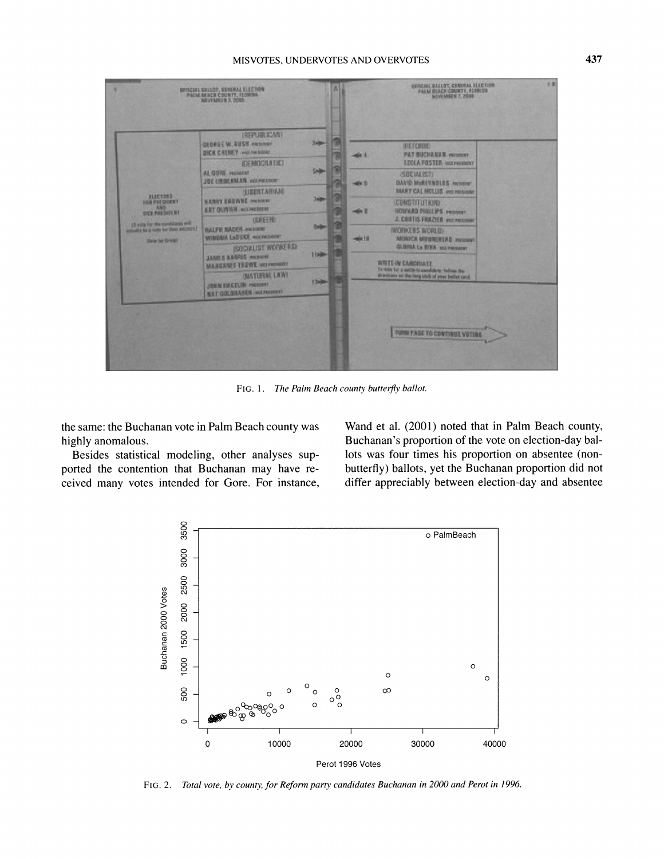## **MISVOTES, UNDERVOTES AND OVERVOTES 437**



**FIG. 1.** *The Palm Beach county buttefly ballot.* 

highly anomalous. Buchanan's proportion of the vote on election-day bal-

ported the contention that Buchanan may have re-<br>butterfly) ballots, yet the Buchanan proportion did not ceived many votes intended for Gore. For instance, differ appreciably between election-day and absentee

the same: the Buchanan vote in Palm Beach county was Wand et al. (2001) noted that in Palm Beach county, Besides statistical modeling, other analyses sup- lots was four times his proportion on absentee (non-



**FIG. 2.** *Total vote, by county, for Reform party candidates Buchanan in 2000 and Perot in 1996.*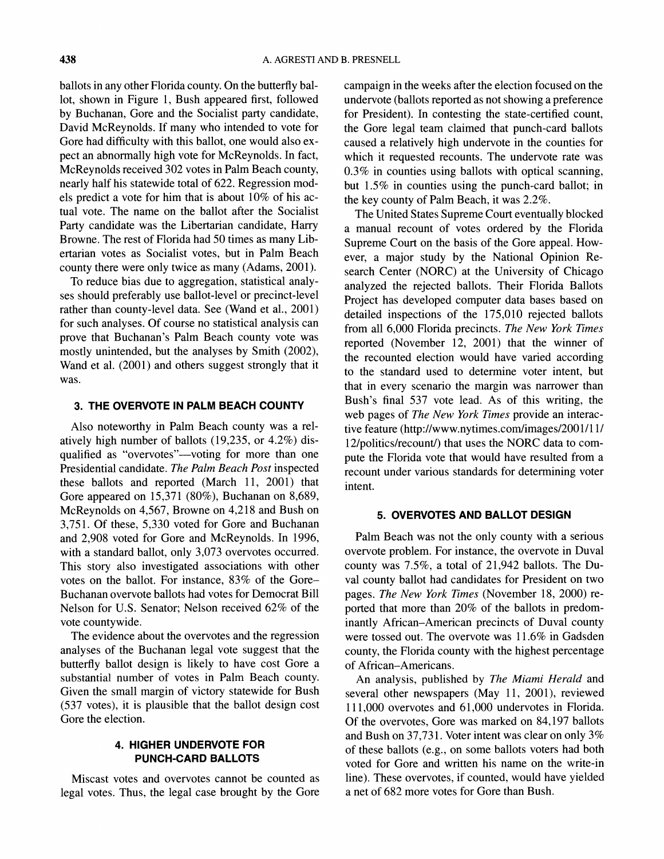ballots in any other Florida county. On the butterfly ballot, shown in Figure 1, Bush appeared first, followed by Buchanan, Gore and the Socialist party candidate, David McReynolds. If many who intended to vote for Gore had difficulty with this ballot, one would also expect an abnormally high vote for McReynolds. In fact, McReynolds received 302 votes in Palm Beach county, nearly half his statewide total of 622. Regression models predict a vote for him that is about 10% of his actual vote. The name on the ballot after the Socialist Party candidate was the Libertarian candidate, Harry Browne. The rest of Florida had 50 times as many Libertarian votes as Socialist votes, but in Palm Beach county there were only twice as many (Adams, 2001).

To reduce bias due to aggregation, statistical analyses should preferably use ballot-level or precinct-level rather than county-level data. See (Wand et al., 2001) for such analyses. Of course no statistical analysis can prove that Buchanan's Palm Beach county vote was mostly unintended, but the analyses by Smith (2002), Wand et al. (2001) and others suggest strongly that it was.

# **3. THE OVERVOTE IN PALM BEACH COUNTY**

Also noteworthy in Palm Beach county was a relatively high number of ballots (19,235, or 4.2%) disqualified as "overvotes"—voting for more than one Presidential candidate. *The Palm Beach Post* inspected these ballots and reported (March 11, 2001) that Gore appeared on 15,371 (80%), Buchanan on 8,689, McReynolds on 4,567, Browne on 4,218 and Bush on 3,751. Of these, 5,330 voted for Gore and Buchanan and 2,908 voted for Gore and McReynolds. In 1996, with a standard ballot, only 3,073 overvotes occurred. This story also investigated associations with other votes on the ballot. For instance, 83% of the Gore-Buchanan overvote ballots had votes for Democrat Bill Nelson for U.S. Senator; Nelson received 62% of the vote countywide.

The evidence about the overvotes and the regression analyses of the Buchanan legal vote suggest that the butterfly ballot design is likely to have cost Gore a substantial number of votes in Palm Beach county. Given the small margin of victory statewide for Bush (537 votes), it is plausible that the ballot design cost Gore the election.

### **4. HIGHER UNDERVOTE FOR PUNCH-CARD BALLOTS**

Miscast votes and overvotes cannot be counted as legal votes. Thus, the legal case brought by the Gore

campaign in the weeks after the election focused on the undervote (ballots reported as not showing a preference for President). In contesting the state-certified count, the Gore legal team claimed that punch-card ballots caused a relatively high undervote in the counties for which it requested recounts. The undervote rate was 0.3% in counties using ballots with optical scanning, but 1.5% in counties using the punch-card ballot; in the key county of Palm Beach, it was 2.2%.

The United States Supreme Court eventually blocked a manual recount of votes ordered by the Florida Supreme Court on the basis of the Gore appeal. However, a major study by the National Opinion Research Center (NORC) at the University of Chicago analyzed the rejected ballots. Their Florida Ballots Project has developed computer data bases based on detailed inspections of the 175,010 rejected ballots from all 6,000 Florida precincts. *The New York Times*  reported (November 12, 2001) that the winner of the recounted election would have varied according to the standard used to determine voter intent, but that in every scenario the margin was narrower than Bush's final 537 vote lead. As of this writing, the web pages of *The New York Times* provide an interactive feature (http://www.nytimes.com/images/2001/11/ 12/politics/recount/) that uses the NORC data to compute the Florida vote that would have resulted from a recount under various standards for determining voter intent.

#### **5. OVERVOTES AND BALLOT DESIGN**

Palm Beach was not the only county with a serious overvote problem. For instance, the overvote in Duval county was 7.5%, a total of 21,942 ballots. The Duval county ballot had candidates for President on two pages. *The New York Times* (November 18, 2000) reported that more than 20% of the ballots in predominantly African-American precincts of Duval county were tossed out. The overvote was 11.6% in Gadsden county, the Florida county with the highest percentage of African-Americans.

An analysis, published by *The Miami Herald* and several other newspapers (May 11, 2001), reviewed 111,000 overvotes and 61,000 undervotes in Florida. Of the overvotes, Gore was marked on 84,197 ballots and Bush on  $37,731$ . Voter intent was clear on only  $3\%$ of these ballots (e.g., on some ballots voters had both voted for Gore and written his name on the write-in line). These overvotes, if counted, would have yielded a net of 682 more votes for Gore than Bush.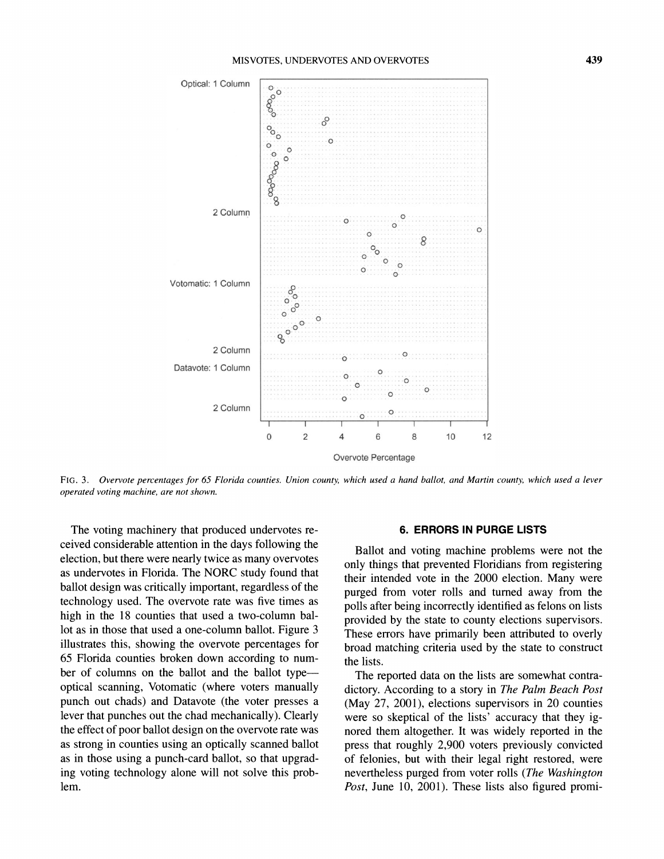

**FIG. 3.** *Overvote percentages for 65 Florida counties. Union county, which used a hand ballot, and Martin county, which used a lever operated voting machine, are not shown.* 

The voting machinery that produced undervotes received considerable attention in the days following the election, but there were nearly twice as many overvotes as undervotes in Florida. The NORC study found that ballot design was critically important, regardless of the technology used. The overvote rate was five times as high in the 18 counties that used a two-column ballot as in those that used a one-column ballot. Figure 3 illustrates this, showing the overvote percentages for 65 Florida counties broken down according to number of columns on the ballot and the ballot typeoptical scanning, Votomatic (where voters manually punch out chads) and Datavote (the voter presses a lever that punches out the chad mechanically). Clearly the effect of poor ballot design on the overvote rate was as strong in counties using an optically scanned ballot as in those using a punch-card ballot, so that upgrading voting technology alone will not solve this problem.

#### **6. ERRORS IN PURGE LISTS**

Ballot and voting machine problems were not the only things that prevented Floridians from registering their intended vote in the 2000 election. Many were purged from voter rolls and turned away from the polls after being incorrectly identified as felons on lists provided by the state to county elections supervisors. These errors have primarily been attributed to overly broad matching criteria used by the state to construct the lists.

The reported data on the lists are somewhat contradictory. According to a story in *The Palm Beach Post*  (May 27, 2001), elections supervisors in 20 counties were so skeptical of the lists' accuracy that they ignored them altogether. It was widely reported in the press that roughly 2,900 voters previously convicted of felonies, but with their legal right restored, were nevertheless purged from voter rolls *(The Washington Post, June 10, 2001). These lists also figured promi-*